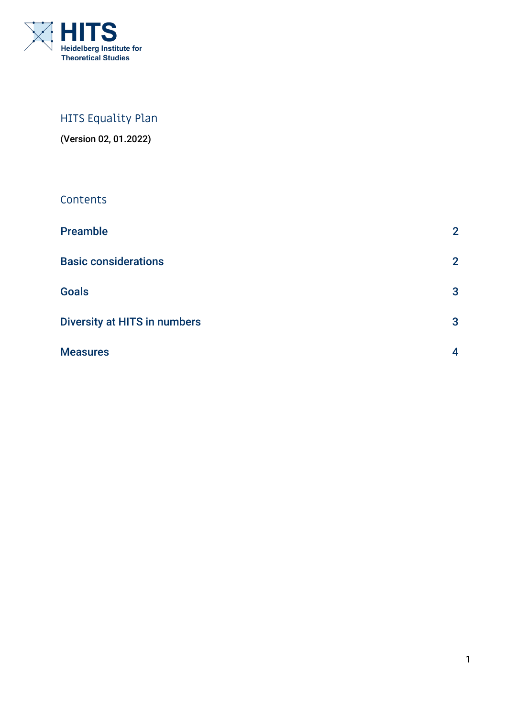

# HITS Equality Plan

(Version 02, 01.2022)

# Contents

| <b>Preamble</b>                     | $\overline{2}$ |
|-------------------------------------|----------------|
| <b>Basic considerations</b>         | $\mathbf{2}$   |
| <b>Goals</b>                        | 3              |
| <b>Diversity at HITS in numbers</b> | $\mathbf{3}$   |
| <b>Measures</b>                     | 4              |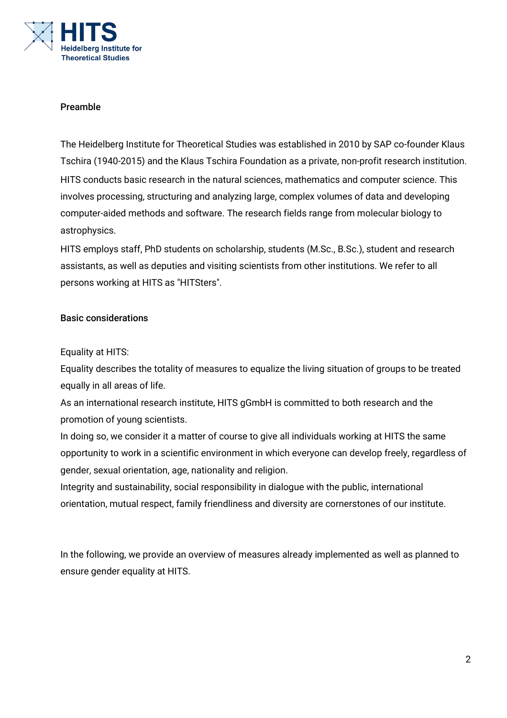

# Preamble

The Heidelberg Institute for Theoretical Studies was established in 2010 by SAP co-founder Klaus Tschira (1940-2015) and the Klaus Tschira Foundation as a private, non-profit research institution. HITS conducts basic research in the natural sciences, mathematics and computer science. This involves processing, structuring and analyzing large, complex volumes of data and developing computer-aided methods and software. The research fields range from molecular biology to astrophysics.

HITS employs staff, PhD students on scholarship, students (M.Sc., B.Sc.), student and research assistants, as well as deputies and visiting scientists from other institutions. We refer to all persons working at HITS as "HITSters".

#### Basic considerations

#### Equality at HITS:

Equality describes the totality of measures to equalize the living situation of groups to be treated equally in all areas of life.

As an international research institute, HITS gGmbH is committed to both research and the promotion of young scientists.

In doing so, we consider it a matter of course to give all individuals working at HITS the same opportunity to work in a scientific environment in which everyone can develop freely, regardless of gender, sexual orientation, age, nationality and religion.

Integrity and sustainability, social responsibility in dialogue with the public, international orientation, mutual respect, family friendliness and diversity are cornerstones of our institute.

In the following, we provide an overview of measures already implemented as well as planned to ensure gender equality at HITS.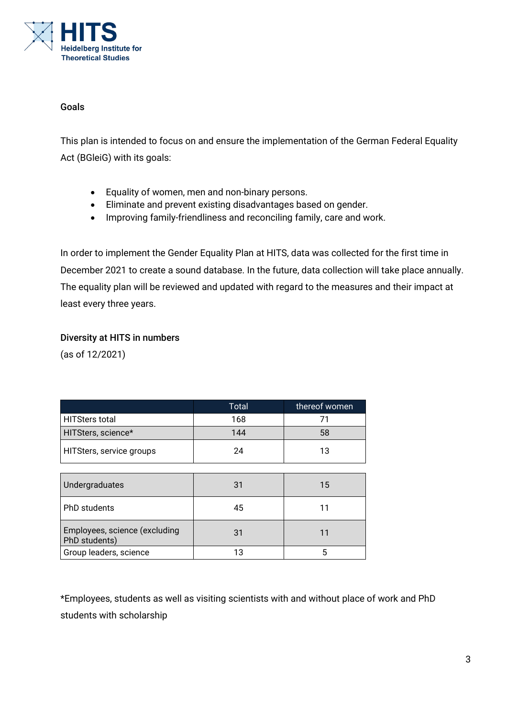

#### Goals

This plan is intended to focus on and ensure the implementation of the German Federal Equality Act (BGleiG) with its goals:

- Equality of women, men and non-binary persons.
- Eliminate and prevent existing disadvantages based on gender.
- Improving family-friendliness and reconciling family, care and work.

In order to implement the Gender Equality Plan at HITS, data was collected for the first time in December 2021 to create a sound database. In the future, data collection will take place annually. The equality plan will be reviewed and updated with regard to the measures and their impact at least every three years.

# Diversity at HITS in numbers

(as of 12/2021)

|                                                | <b>Total</b> | thereof women |  |
|------------------------------------------------|--------------|---------------|--|
| <b>HITSters total</b>                          | 168          | 71            |  |
| HITSters, science*                             | 144          | 58            |  |
| HITSters, service groups                       | 24           | 13            |  |
|                                                |              |               |  |
| Undergraduates                                 | 31           | 15            |  |
| <b>PhD</b> students                            | 45           | 11            |  |
| Employees, science (excluding<br>PhD students) | 31           | 11            |  |
| Group leaders, science                         | 13           | 5             |  |

\*Employees, students as well as visiting scientists with and without place of work and PhD students with scholarship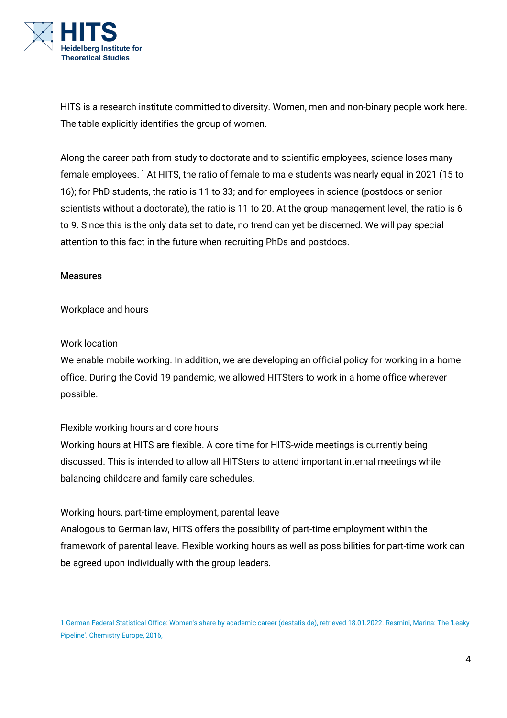

HITS is a research institute committed to diversity. Women, men and non-binary people work here. The table explicitly identifies the group of women.

Along the career path from study to doctorate and to scientific employees, science loses many female employees.<sup>[1](#page-3-0)</sup> At HITS, the ratio of female to male students was nearly equal in 2021 (15 to 16); for PhD students, the ratio is 11 to 33; and for employees in science (postdocs or senior scientists without a doctorate), the ratio is 11 to 20. At the group management level, the ratio is 6 to 9. Since this is the only data set to date, no trend can yet be discerned. We will pay special attention to this fact in the future when recruiting PhDs and postdocs.

#### Measures

#### Workplace and hours

#### Work location

We enable mobile working. In addition, we are developing an official policy for working in a home office. During the Covid 19 pandemic, we allowed HITSters to work in a home office wherever possible.

# Flexible working hours and core hours

Working hours at HITS are flexible. A core time for HITS-wide meetings is currently being discussed. This is intended to allow all HITSters to attend important internal meetings while balancing childcare and family care schedules.

# Working hours, part-time employment, parental leave

Analogous to German law, HITS offers the possibility of part-time employment within the framework of parental leave. Flexible working hours as well as possibilities for part-time work can be agreed upon individually with the group leaders.

<span id="page-3-0"></span><sup>1</sup> German Federal Statistical Office: Women's share by academic career (destatis.de), retrieved 18.01.2022. Resmini, Marina: The 'Leaky Pipeline'. Chemistry Europe, 2016,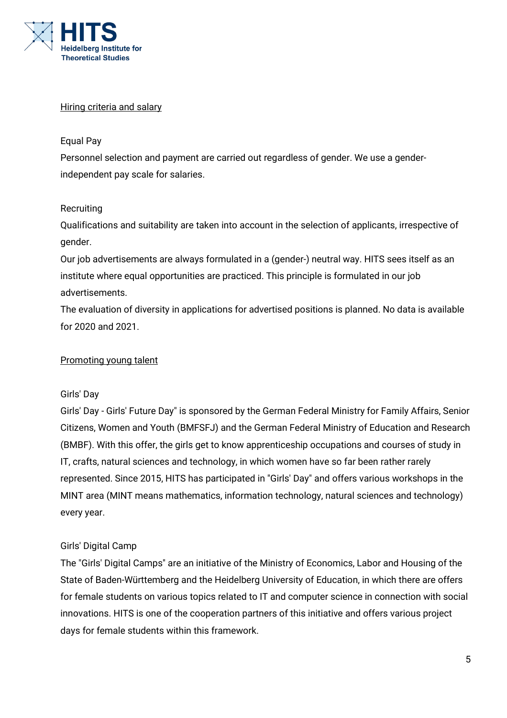

#### Hiring criteria and salary

#### Equal Pay

Personnel selection and payment are carried out regardless of gender. We use a genderindependent pay scale for salaries.

#### **Recruiting**

Qualifications and suitability are taken into account in the selection of applicants, irrespective of gender.

Our job advertisements are always formulated in a (gender-) neutral way. HITS sees itself as an institute where equal opportunities are practiced. This principle is formulated in our job advertisements.

The evaluation of diversity in applications for advertised positions is planned. No data is available for 2020 and 2021.

# Promoting young talent

#### Girls' Day

Girls' Day - Girls' Future Day" is sponsored by the German Federal Ministry for Family Affairs, Senior Citizens, Women and Youth (BMFSFJ) and the German Federal Ministry of Education and Research (BMBF). With this offer, the girls get to know apprenticeship occupations and courses of study in IT, crafts, natural sciences and technology, in which women have so far been rather rarely represented. Since 2015, HITS has participated in "Girls' Day" and offers various workshops in the MINT area (MINT means mathematics, information technology, natural sciences and technology) every year.

# Girls' Digital Camp

The "Girls' Digital Camps" are an initiative of the Ministry of Economics, Labor and Housing of the State of Baden-Württemberg and the Heidelberg University of Education, in which there are offers for female students on various topics related to IT and computer science in connection with social innovations. HITS is one of the cooperation partners of this initiative and offers various project days for female students within this framework.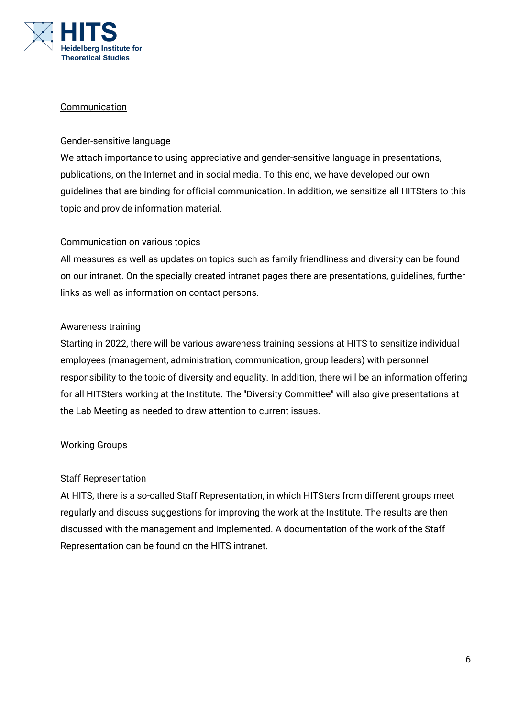

#### **Communication**

# Gender-sensitive language

We attach importance to using appreciative and gender-sensitive language in presentations, publications, on the Internet and in social media. To this end, we have developed our own guidelines that are binding for official communication. In addition, we sensitize all HITSters to this topic and provide information material.

#### Communication on various topics

All measures as well as updates on topics such as family friendliness and diversity can be found on our intranet. On the specially created intranet pages there are presentations, guidelines, further links as well as information on contact persons.

#### Awareness training

Starting in 2022, there will be various awareness training sessions at HITS to sensitize individual employees (management, administration, communication, group leaders) with personnel responsibility to the topic of diversity and equality. In addition, there will be an information offering for all HITSters working at the Institute. The "Diversity Committee" will also give presentations at the Lab Meeting as needed to draw attention to current issues.

# Working Groups

#### Staff Representation

At HITS, there is a so-called Staff Representation, in which HITSters from different groups meet regularly and discuss suggestions for improving the work at the Institute. The results are then discussed with the management and implemented. A documentation of the work of the Staff Representation can be found on the HITS intranet.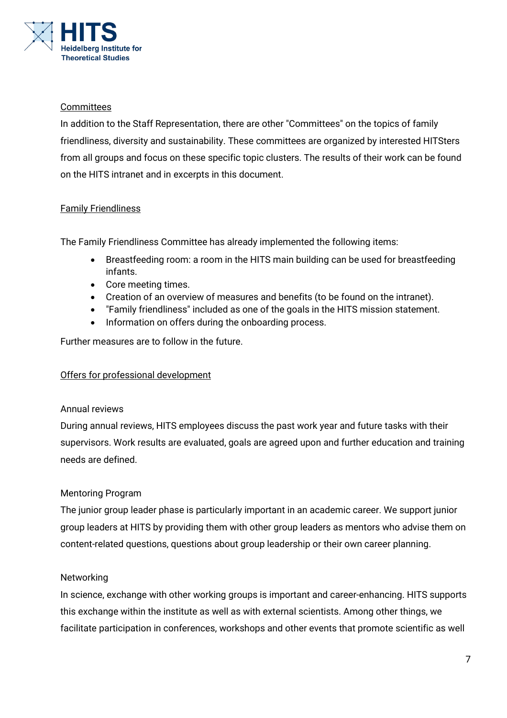

# **Committees**

In addition to the Staff Representation, there are other "Committees" on the topics of family friendliness, diversity and sustainability. These committees are organized by interested HITSters from all groups and focus on these specific topic clusters. The results of their work can be found on the HITS intranet and in excerpts in this document.

# Family Friendliness

The Family Friendliness Committee has already implemented the following items:

- Breastfeeding room: a room in the HITS main building can be used for breastfeeding infants.
- Core meeting times.
- Creation of an overview of measures and benefits (to be found on the intranet).
- "Family friendliness" included as one of the goals in the HITS mission statement.
- Information on offers during the onboarding process.

Further measures are to follow in the future.

# Offers for professional development

# Annual reviews

During annual reviews, HITS employees discuss the past work year and future tasks with their supervisors. Work results are evaluated, goals are agreed upon and further education and training needs are defined.

# Mentoring Program

The junior group leader phase is particularly important in an academic career. We support junior group leaders at HITS by providing them with other group leaders as mentors who advise them on content-related questions, questions about group leadership or their own career planning.

# Networking

In science, exchange with other working groups is important and career-enhancing. HITS supports this exchange within the institute as well as with external scientists. Among other things, we facilitate participation in conferences, workshops and other events that promote scientific as well